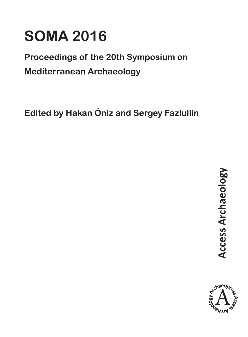# **SOMA 2016**

## **Proceedings of the 20th Symposium on Mediterranean Archaeology**

**Edited by Hakan Öniz and Sergey Fazlullin**

Access Archaeology **Access Archaeology**

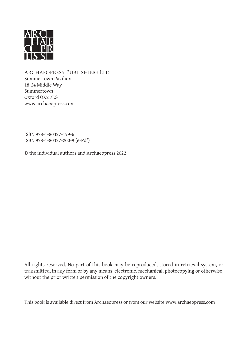

Archaeopress Publishing Ltd Summertown Pavilion 18-24 Middle Way Summertown Oxford OX2 7LG www.archaeopress.com

ISBN 978-1-80327-199-6 ISBN 978-1-80327-200-9 (e-Pdf)

© the individual authors and Archaeopress 2022

All rights reserved. No part of this book may be reproduced, stored in retrieval system, or transmitted, in any form or by any means, electronic, mechanical, photocopying or otherwise, without the prior written permission of the copyright owners.

This book is available direct from Archaeopress or from our website www.archaeopress.com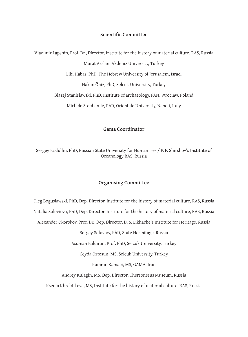#### **Scientific Committee**

Vladimir Lapshin, Prof. Dr., Director, Institute for the history of material culture, RAS, Russia Murat Arslan, Akdeniz University, Turkey Lihi Habas, PhD, The Hebrew University of Jerusalem, Israel Hakan Öniz, PhD, Selcuk University, Turkey Blazej Stanislawski, PhD, Institute of archaeology, PAN, Wroclaw, Poland Michele Stephanile, PhD, Orientale University, Napoli, Italy

#### **Gama Coordinator**

Sergey Fazlullin, PhD, Russian State University for Humanities / P. P. Shirshov's Institute of Oceanology RAS, Russia

#### **Organising Committee**

Oleg Boguslawski, PhD, Dep. Director, Institute for the history of material culture, RAS, Russia Natalia Soloviova, PhD, Dep. Director, Institute for the history of material culture, RAS, Russia

Alexander Okorokov, Prof. Dr., Dep. Director, D. S. Likhache's Institute for Heritage, Russia

Sergey Soloviov, PhD, State Hermitage, Russia

Asuman Baldıran, Prof. PhD, Selcuk University, Turkey

Ceyda Öztosun, MS, Selcuk University, Turkey

Kamran Kamaei, MS, GAMA, Iran

Andrey Kulagin, MS, Dep. Director, Chersonesus Museum, Russia

Ksenia Khrebtikova, MS, Institute for the history of material culture, RAS, Russia